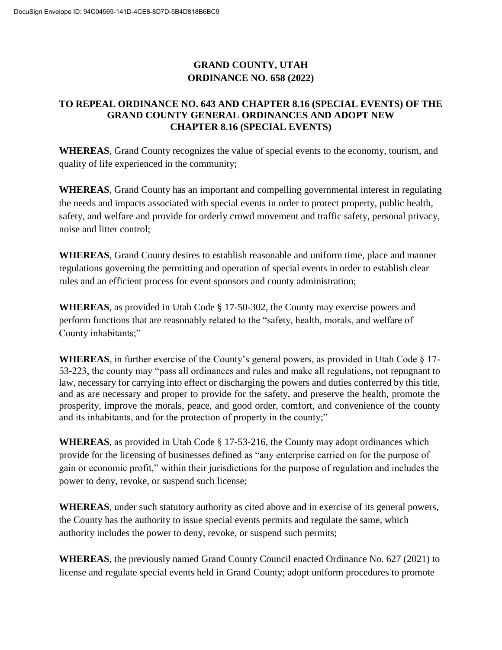# **GRAND COUNTY, UTAH ORDINANCE NO. 658 (2022)**

# **TO REPEAL ORDINANCE NO. 643 AND CHAPTER 8.16 (SPECIAL EVENTS) OF THE GRAND COUNTY GENERAL ORDINANCES AND ADOPT NEW CHAPTER 8.16 (SPECIAL EVENTS)**

**WHEREAS**, Grand County recognizes the value of special events to the economy, tourism, and quality of life experienced in the community;

**WHEREAS**, Grand County has an important and compelling governmental interest in regulating the needs and impacts associated with special events in order to protect property, public health, safety, and welfare and provide for orderly crowd movement and traffic safety, personal privacy, noise and litter control;

**WHEREAS**, Grand County desires to establish reasonable and uniform time, place and manner regulations governing the permitting and operation of special events in order to establish clear rules and an efficient process for event sponsors and county administration;

**WHEREAS**, as provided in Utah Code § 17-50-302, the County may exercise powers and perform functions that are reasonably related to the "safety, health, morals, and welfare of County inhabitants;"

**WHEREAS**, in further exercise of the County's general powers, as provided in Utah Code  $\S$  17-53-223, the county may "pass all ordinances and rules and make all regulations, not repugnant to law, necessary for carrying into effect or discharging the powers and duties conferred by this title, and as are necessary and proper to provide for the safety, and preserve the health, promote the prosperity, improve the morals, peace, and good order, comfort, and convenience of the county and its inhabitants, and for the protection of property in the county;"

**WHEREAS**, as provided in Utah Code § 17-53-216, the County may adopt ordinances which provide for the licensing of businesses defined as "any enterprise carried on for the purpose of gain or economic profit," within their jurisdictions for the purpose of regulation and includes the power to deny, revoke, or suspend such license;

**WHEREAS**, under such statutory authority as cited above and in exercise of its general powers, the County has the authority to issue special events permits and regulate the same, which authority includes the power to deny, revoke, or suspend such permits;

**WHEREAS**, the previously named Grand County Council enacted Ordinance No. 627 (2021) to license and regulate special events held in Grand County; adopt uniform procedures to promote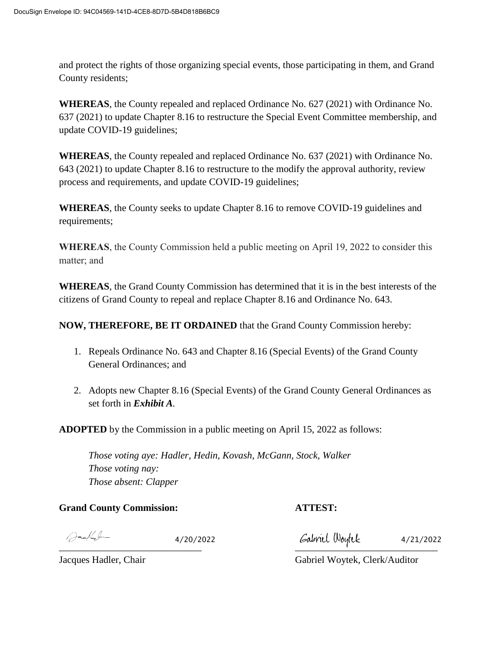and protect the rights of those organizing special events, those participating in them, and Grand County residents;

**WHEREAS**, the County repealed and replaced Ordinance No. 627 (2021) with Ordinance No. 637 (2021) to update Chapter 8.16 to restructure the Special Event Committee membership, and update COVID-19 guidelines;

**WHEREAS**, the County repealed and replaced Ordinance No. 637 (2021) with Ordinance No. 643 (2021) to update Chapter 8.16 to restructure to the modify the approval authority, review process and requirements, and update COVID-19 guidelines;

**WHEREAS**, the County seeks to update Chapter 8.16 to remove COVID-19 guidelines and requirements;

**WHEREAS**, the County Commission held a public meeting on April 19, 2022 to consider this matter; and

**WHEREAS**, the Grand County Commission has determined that it is in the best interests of the citizens of Grand County to repeal and replace Chapter 8.16 and Ordinance No. 643.

**NOW, THEREFORE, BE IT ORDAINED** that the Grand County Commission hereby:

- 1. Repeals Ordinance No. 643 and Chapter 8.16 (Special Events) of the Grand County General Ordinances; and
- 2. Adopts new Chapter 8.16 (Special Events) of the Grand County General Ordinances as set forth in *Exhibit A.*

**ADOPTED** by the Commission in a public meeting on April 15, 2022 as follows:

*Those voting aye: Hadler, Hedin, Kovash, McGann, Stock, Walker Those voting nay: Those absent: Clapper*

**Grand County Commission: ATTEST:**

 $\bigcap$ ac/al-

 $\overline{\phantom{a}}$ 4/20/2022 4/21/2022

Jacques Hadler, Chair Gabriel Woytek, Clerk/Auditor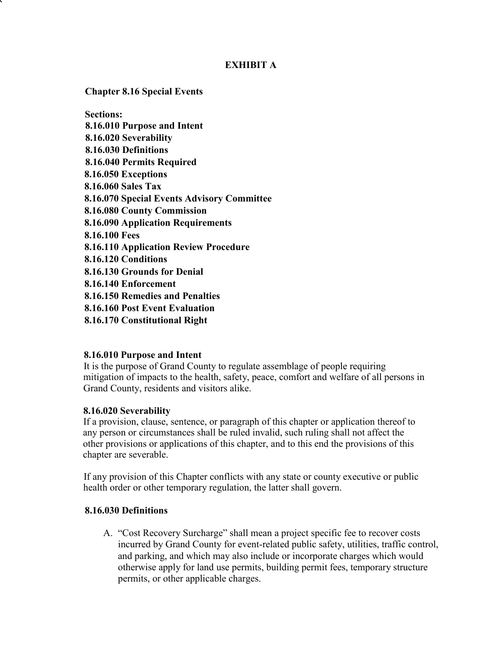## **EXHIBIT A**

**Chapter 8.16 Special Events**

**Sections: 8.16.010 Purpose and Intent 8.16.020 Severability 8.16.030 Definitions 8.16.040 Permits Required 8.16.050 Exceptions 8.16.060 Sales Tax 8.16.070 Special Events Advisory Committee 8.16.080 County Commission 8.16.090 Application Requirements 8.16.100 Fees 8.16.110 Application Review Procedure 8.16.120 Conditions 8.16.130 Grounds for Denial 8.16.140 Enforcement 8.16.150 Remedies and Penalties 8.16.160 Post Event Evaluation 8.16.170 Constitutional Right**

### **8.16.010 Purpose and Intent**

It is the purpose of Grand County to regulate assemblage of people requiring mitigation of impacts to the health, safety, peace, comfort and welfare of all persons in Grand County, residents and visitors alike.

### **8.16.020 Severability**

If a provision, clause, sentence, or paragraph of this chapter or application thereof to any person or circumstances shall be ruled invalid, such ruling shall not affect the other provisions or applications of this chapter, and to this end the provisions of this chapter are severable.

If any provision of this Chapter conflicts with any state or county executive or public health order or other temporary regulation, the latter shall govern.

#### **8.16.030 Definitions**

A. "Cost Recovery Surcharge" shall mean a project specific fee to recover costs incurred by Grand County for event-related public safety, utilities, traffic control, and parking, and which may also include or incorporate charges which would otherwise apply for land use permits, building permit fees, temporary structure permits, or other applicable charges.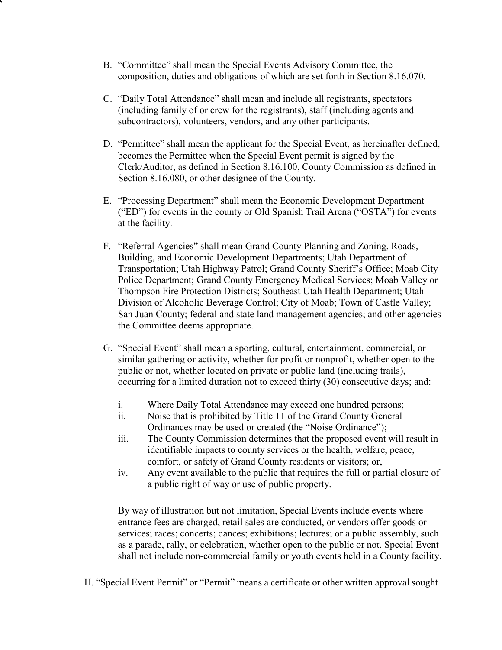- B. "Committee" shall mean the Special Events Advisory Committee, the composition, duties and obligations of which are set forth in Section 8.16.070.
- C. "Daily Total Attendance" shall mean and include all registrants, spectators (including family of or crew for the registrants), staff (including agents and subcontractors), volunteers, vendors, and any other participants.
- D. "Permittee" shall mean the applicant for the Special Event, as hereinafter defined, becomes the Permittee when the Special Event permit is signed by the Clerk/Auditor, as defined in Section 8.16.100, County Commission as defined in Section 8.16.080, or other designee of the County.
- E. "Processing Department" shall mean the Economic Development Department ("ED") for events in the county or Old Spanish Trail Arena ("OSTA") for events at the facility.
- F. "Referral Agencies" shall mean Grand County Planning and Zoning, Roads, Building, and Economic Development Departments; Utah Department of Transportation; Utah Highway Patrol; Grand County Sheriff's Office; Moab City Police Department; Grand County Emergency Medical Services; Moab Valley or Thompson Fire Protection Districts; Southeast Utah Health Department; Utah Division of Alcoholic Beverage Control; City of Moab; Town of Castle Valley; San Juan County; federal and state land management agencies; and other agencies the Committee deems appropriate.
- G. "Special Event" shall mean a sporting, cultural, entertainment, commercial, or similar gathering or activity, whether for profit or nonprofit, whether open to the public or not, whether located on private or public land (including trails), occurring for a limited duration not to exceed thirty (30) consecutive days; and:
	- i. Where Daily Total Attendance may exceed one hundred persons;
	- ii. Noise that is prohibited by Title 11 of the Grand County General Ordinances may be used or created (the "Noise Ordinance");
	- iii. The County Commission determines that the proposed event will result in identifiable impacts to county services or the health, welfare, peace, comfort, or safety of Grand County residents or visitors; or,
	- iv. Any event available to the public that requires the full or partial closure of a public right of way or use of public property.

By way of illustration but not limitation, Special Events include events where entrance fees are charged, retail sales are conducted, or vendors offer goods or services; races; concerts; dances; exhibitions; lectures; or a public assembly, such as a parade, rally, or celebration, whether open to the public or not. Special Event shall not include non-commercial family or youth events held in a County facility.

H. "Special Event Permit" or "Permit" means a certificate or other written approval sought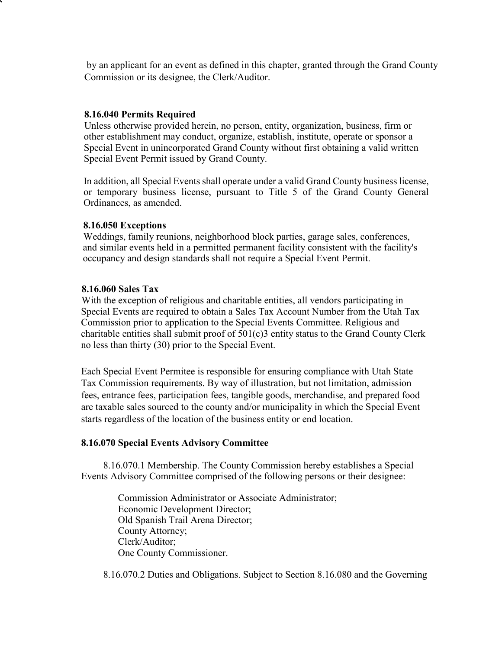by an applicant for an event as defined in this chapter, granted through the Grand County Commission or its designee, the Clerk/Auditor.

#### **8.16.040 Permits Required**

Unless otherwise provided herein, no person, entity, organization, business, firm or other establishment may conduct, organize, establish, institute, operate or sponsor a Special Event in unincorporated Grand County without first obtaining a valid written Special Event Permit issued by Grand County.

In addition, all Special Events shall operate under a valid Grand County business license, or temporary business license, pursuant to Title 5 of the Grand County General Ordinances, as amended.

#### **8.16.050 Exceptions**

Weddings, family reunions, neighborhood block parties, garage sales, conferences, and similar events held in a permitted permanent facility consistent with the facility's occupancy and design standards shall not require a Special Event Permit.

#### **8.16.060 Sales Tax**

With the exception of religious and charitable entities, all vendors participating in Special Events are required to obtain a Sales Tax Account Number from the Utah Tax Commission prior to application to the Special Events Committee. Religious and charitable entities shall submit proof of 501(c)3 entity status to the Grand County Clerk no less than thirty (30) prior to the Special Event.

Each Special Event Permitee is responsible for ensuring compliance with Utah State Tax Commission requirements. By way of illustration, but not limitation, admission fees, entrance fees, participation fees, tangible goods, merchandise, and prepared food are taxable sales sourced to the county and/or municipality in which the Special Event starts regardless of the location of the business entity or end location.

#### **8.16.070 Special Events Advisory Committee**

8.16.070.1 Membership. The County Commission hereby establishes a Special Events Advisory Committee comprised of the following persons or their designee:

> Commission Administrator or Associate Administrator; Economic Development Director; Old Spanish Trail Arena Director; County Attorney; Clerk/Auditor; One County Commissioner.

8.16.070.2 Duties and Obligations. Subject to Section 8.16.080 and the Governing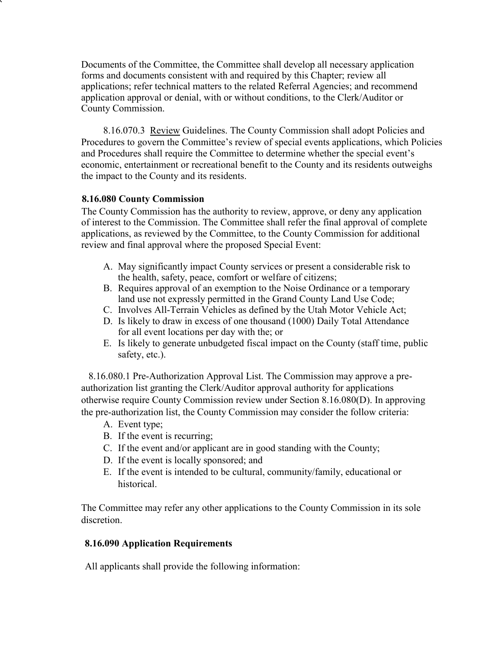Documents of the Committee, the Committee shall develop all necessary application forms and documents consistent with and required by this Chapter; review all applications; refer technical matters to the related Referral Agencies; and recommend application approval or denial, with or without conditions, to the Clerk/Auditor or County Commission.

8.16.070.3 Review Guidelines. The County Commission shall adopt Policies and Procedures to govern the Committee's review of special events applications, which Policies and Procedures shall require the Committee to determine whether the special event's economic, entertainment or recreational benefit to the County and its residents outweighs the impact to the County and its residents.

### **8.16.080 County Commission**

The County Commission has the authority to review, approve, or deny any application of interest to the Commission. The Committee shall refer the final approval of complete applications, as reviewed by the Committee, to the County Commission for additional review and final approval where the proposed Special Event:

- A. May significantly impact County services or present a considerable risk to the health, safety, peace, comfort or welfare of citizens;
- B. Requires approval of an exemption to the Noise Ordinance or a temporary land use not expressly permitted in the Grand County Land Use Code;
- C. Involves All-Terrain Vehicles as defined by the Utah Motor Vehicle Act;
- D. Is likely to draw in excess of one thousand (1000) Daily Total Attendance for all event locations per day with the; or
- E. Is likely to generate unbudgeted fiscal impact on the County (staff time, public safety, etc.).

8.16.080.1 Pre-Authorization Approval List. The Commission may approve a preauthorization list granting the Clerk/Auditor approval authority for applications otherwise require County Commission review under Section 8.16.080(D). In approving the pre-authorization list, the County Commission may consider the follow criteria:

- A. Event type;
- B. If the event is recurring;
- C. If the event and/or applicant are in good standing with the County;
- D. If the event is locally sponsored; and
- E. If the event is intended to be cultural, community/family, educational or historical.

The Committee may refer any other applications to the County Commission in its sole discretion.

# **8.16.090 Application Requirements**

All applicants shall provide the following information: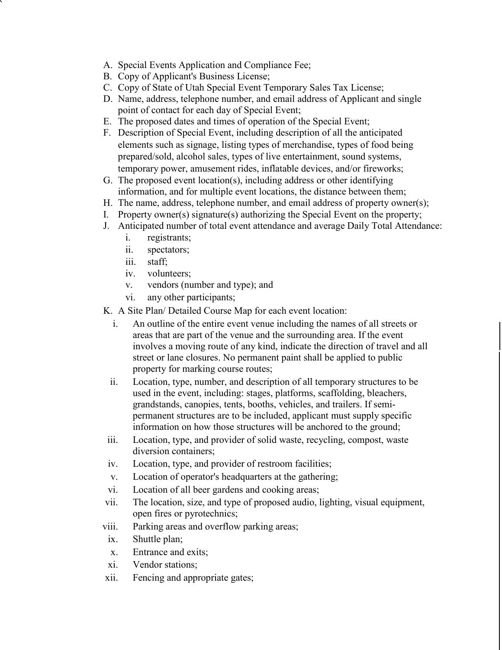- A. Special Events Application and Compliance Fee;
- B. Copy of Applicant's Business License;
- C. Copy of State of Utah Special Event Temporary Sales Tax License;
- D. Name, address, telephone number, and email address of Applicant and single point of contact for each day of Special Event;
- E. The proposed dates and times of operation of the Special Event;
- F. Description of Special Event, including description of all the anticipated elements such as signage, listing types of merchandise, types of food being prepared/sold, alcohol sales, types of live entertainment, sound systems, temporary power, amusement rides, inflatable devices, and/or fireworks;
- G. The proposed event location(s), including address or other identifying information, and for multiple event locations, the distance between them;
- H. The name, address, telephone number, and email address of property owner(s);
- I. Property owner(s) signature(s) authorizing the Special Event on the property;
- J. Anticipated number of total event attendance and average Daily Total Attendance:
	- i. registrants;
	- ii. spectators;
	- iii. staff;
	- iv. volunteers;
	- v. vendors (number and type); and
	- vi. any other participants;
- K. A Site Plan/ Detailed Course Map for each event location:
	- i. An outline of the entire event venue including the names of all streets or areas that are part of the venue and the surrounding area. If the event involves a moving route of any kind, indicate the direction of travel and all street or lane closures. No permanent paint shall be applied to public property for marking course routes;
	- ii. Location, type, number, and description of all temporary structures to be used in the event, including: stages, platforms, scaffolding, bleachers, grandstands, canopies, tents, booths, vehicles, and trailers. If semipermanent structures are to be included, applicant must supply specific information on how those structures will be anchored to the ground;
- iii. Location, type, and provider of solid waste, recycling, compost, waste diversion containers;
- iv. Location, type, and provider of restroom facilities;
- v. Location of operator's headquarters at the gathering;
- vi. Location of all beer gardens and cooking areas;
- vii. The location, size, and type of proposed audio, lighting, visual equipment, open fires or pyrotechnics;
- viii. Parking areas and overflow parking areas;
- ix. Shuttle plan;
- x. Entrance and exits;
- xi. Vendor stations;
- xii. Fencing and appropriate gates;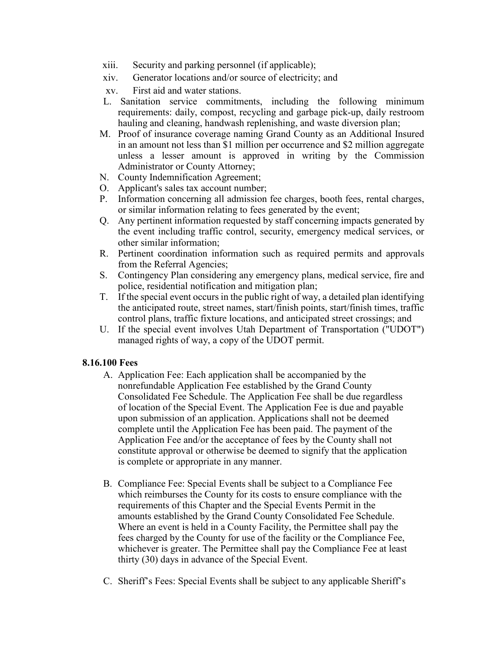- xiii. Security and parking personnel (if applicable);
- xiv. Generator locations and/or source of electricity; and
- xv. First aid and water stations.
- L. Sanitation service commitments, including the following minimum requirements: daily, compost, recycling and garbage pick-up, daily restroom hauling and cleaning, handwash replenishing, and waste diversion plan;
- M. Proof of insurance coverage naming Grand County as an Additional Insured in an amount not less than \$1 million per occurrence and \$2 million aggregate unless a lesser amount is approved in writing by the Commission Administrator or County Attorney;
- N. County Indemnification Agreement;
- O. Applicant's sales tax account number;
- P. Information concerning all admission fee charges, booth fees, rental charges, or similar information relating to fees generated by the event;
- Q. Any pertinent information requested by staff concerning impacts generated by the event including traffic control, security, emergency medical services, or other similar information;
- R. Pertinent coordination information such as required permits and approvals from the Referral Agencies;
- S. Contingency Plan considering any emergency plans, medical service, fire and police, residential notification and mitigation plan;
- T. If the special event occurs in the public right of way, a detailed plan identifying the anticipated route, street names, start/finish points, start/finish times, traffic control plans, traffic fixture locations, and anticipated street crossings; and
- U. If the special event involves Utah Department of Transportation ("UDOT") managed rights of way, a copy of the UDOT permit.

### **8.16.100 Fees**

- A. Application Fee: Each application shall be accompanied by the nonrefundable Application Fee established by the Grand County Consolidated Fee Schedule. The Application Fee shall be due regardless of location of the Special Event. The Application Fee is due and payable upon submission of an application. Applications shall not be deemed complete until the Application Fee has been paid. The payment of the Application Fee and/or the acceptance of fees by the County shall not constitute approval or otherwise be deemed to signify that the application is complete or appropriate in any manner.
- B. Compliance Fee: Special Events shall be subject to a Compliance Fee which reimburses the County for its costs to ensure compliance with the requirements of this Chapter and the Special Events Permit in the amounts established by the Grand County Consolidated Fee Schedule. Where an event is held in a County Facility, the Permittee shall pay the fees charged by the County for use of the facility or the Compliance Fee, whichever is greater. The Permittee shall pay the Compliance Fee at least thirty (30) days in advance of the Special Event.
- C. Sheriff's Fees: Special Events shall be subject to any applicable Sheriff's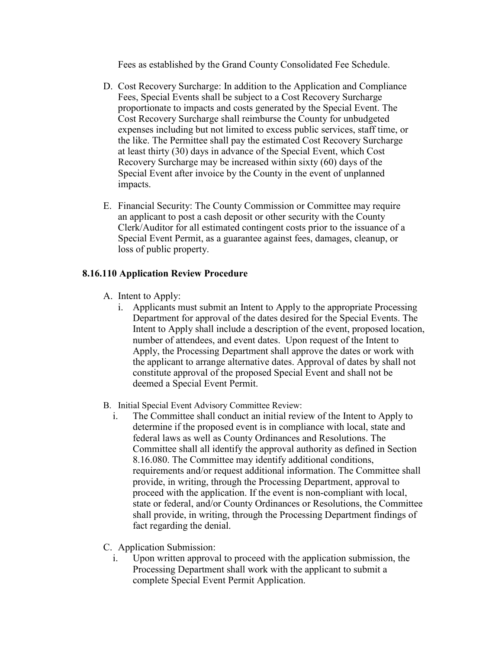Fees as established by the Grand County Consolidated Fee Schedule.

- D. Cost Recovery Surcharge: In addition to the Application and Compliance Fees, Special Events shall be subject to a Cost Recovery Surcharge proportionate to impacts and costs generated by the Special Event. The Cost Recovery Surcharge shall reimburse the County for unbudgeted expenses including but not limited to excess public services, staff time, or the like. The Permittee shall pay the estimated Cost Recovery Surcharge at least thirty (30) days in advance of the Special Event, which Cost Recovery Surcharge may be increased within sixty (60) days of the Special Event after invoice by the County in the event of unplanned impacts.
- E. Financial Security: The County Commission or Committee may require an applicant to post a cash deposit or other security with the County Clerk/Auditor for all estimated contingent costs prior to the issuance of a Special Event Permit, as a guarantee against fees, damages, cleanup, or loss of public property.

### **8.16.110 Application Review Procedure**

- A. Intent to Apply:
	- i. Applicants must submit an Intent to Apply to the appropriate Processing Department for approval of the dates desired for the Special Events. The Intent to Apply shall include a description of the event, proposed location, number of attendees, and event dates. Upon request of the Intent to Apply, the Processing Department shall approve the dates or work with the applicant to arrange alternative dates. Approval of dates by shall not constitute approval of the proposed Special Event and shall not be deemed a Special Event Permit.
- B. Initial Special Event Advisory Committee Review:
	- i. The Committee shall conduct an initial review of the Intent to Apply to determine if the proposed event is in compliance with local, state and federal laws as well as County Ordinances and Resolutions. The Committee shall all identify the approval authority as defined in Section 8.16.080. The Committee may identify additional conditions, requirements and/or request additional information. The Committee shall provide, in writing, through the Processing Department, approval to proceed with the application. If the event is non-compliant with local, state or federal, and/or County Ordinances or Resolutions, the Committee shall provide, in writing, through the Processing Department findings of fact regarding the denial.
- C. Application Submission:
	- i. Upon written approval to proceed with the application submission, the Processing Department shall work with the applicant to submit a complete Special Event Permit Application.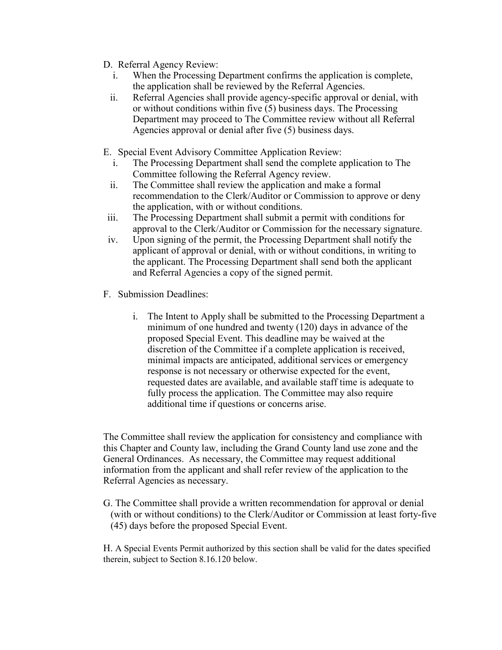- D. Referral Agency Review:
	- i. When the Processing Department confirms the application is complete, the application shall be reviewed by the Referral Agencies.
	- ii. Referral Agencies shall provide agency-specific approval or denial, with or without conditions within five (5) business days. The Processing Department may proceed to The Committee review without all Referral Agencies approval or denial after five (5) business days.
- E. Special Event Advisory Committee Application Review:
	- i. The Processing Department shall send the complete application to The Committee following the Referral Agency review.
	- ii. The Committee shall review the application and make a formal recommendation to the Clerk/Auditor or Commission to approve or deny the application, with or without conditions.
- iii. The Processing Department shall submit a permit with conditions for approval to the Clerk/Auditor or Commission for the necessary signature.
- iv. Upon signing of the permit, the Processing Department shall notify the applicant of approval or denial, with or without conditions, in writing to the applicant. The Processing Department shall send both the applicant and Referral Agencies a copy of the signed permit.
- F. Submission Deadlines:
	- i. The Intent to Apply shall be submitted to the Processing Department a minimum of one hundred and twenty (120) days in advance of the proposed Special Event. This deadline may be waived at the discretion of the Committee if a complete application is received, minimal impacts are anticipated, additional services or emergency response is not necessary or otherwise expected for the event, requested dates are available, and available staff time is adequate to fully process the application. The Committee may also require additional time if questions or concerns arise.

The Committee shall review the application for consistency and compliance with this Chapter and County law, including the Grand County land use zone and the General Ordinances. As necessary, the Committee may request additional information from the applicant and shall refer review of the application to the Referral Agencies as necessary.

G. The Committee shall provide a written recommendation for approval or denial (with or without conditions) to the Clerk/Auditor or Commission at least forty-five (45) days before the proposed Special Event.

H. A Special Events Permit authorized by this section shall be valid for the dates specified therein, subject to Section 8.16.120 below.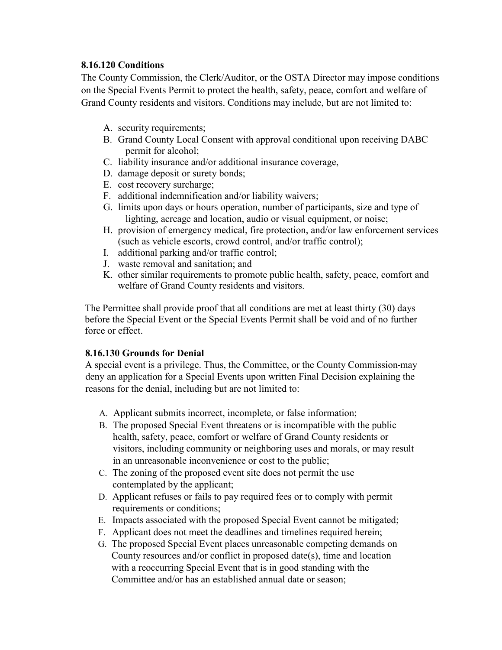# **8.16.120 Conditions**

The County Commission, the Clerk/Auditor, or the OSTA Director may impose conditions on the Special Events Permit to protect the health, safety, peace, comfort and welfare of Grand County residents and visitors. Conditions may include, but are not limited to:

- A. security requirements;
- B. Grand County Local Consent with approval conditional upon receiving DABC permit for alcohol;
- C. liability insurance and/or additional insurance coverage,
- D. damage deposit or surety bonds;
- E. cost recovery surcharge;
- F. additional indemnification and/or liability waivers;
- G. limits upon days or hours operation, number of participants, size and type of lighting, acreage and location, audio or visual equipment, or noise;
- H. provision of emergency medical, fire protection, and/or law enforcement services (such as vehicle escorts, crowd control, and/or traffic control);
- I. additional parking and/or traffic control;
- J. waste removal and sanitation; and
- K. other similar requirements to promote public health, safety, peace, comfort and welfare of Grand County residents and visitors.

The Permittee shall provide proof that all conditions are met at least thirty (30) days before the Special Event or the Special Events Permit shall be void and of no further force or effect.

# **8.16.130 Grounds for Denial**

A special event is a privilege. Thus, the Committee, or the County Commission may deny an application for a Special Events upon written Final Decision explaining the reasons for the denial, including but are not limited to:

- A. Applicant submits incorrect, incomplete, or false information;
- B. The proposed Special Event threatens or is incompatible with the public health, safety, peace, comfort or welfare of Grand County residents or visitors, including community or neighboring uses and morals, or may result in an unreasonable inconvenience or cost to the public;
- C. The zoning of the proposed event site does not permit the use contemplated by the applicant;
- D. Applicant refuses or fails to pay required fees or to comply with permit requirements or conditions;
- E. Impacts associated with the proposed Special Event cannot be mitigated;
- F. Applicant does not meet the deadlines and timelines required herein;
- G. The proposed Special Event places unreasonable competing demands on County resources and/or conflict in proposed date(s), time and location with a reoccurring Special Event that is in good standing with the Committee and/or has an established annual date or season;